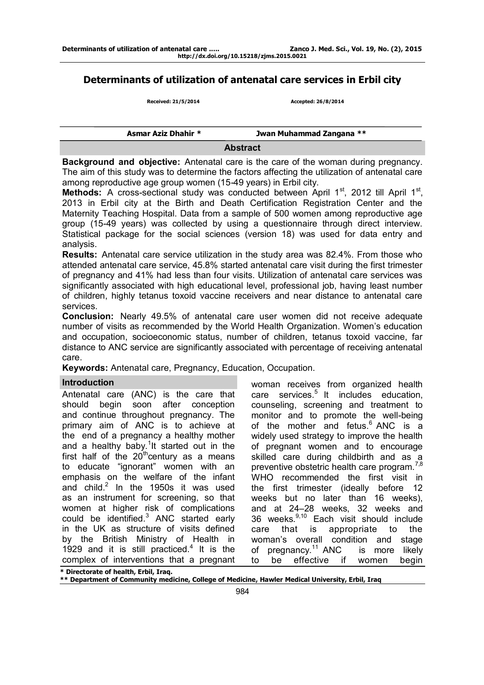## **Determinants of utilization of antenatal care services in Erbil city**

 **Received: 21/5/2014 Accepted: 26/8/2014** 

| Asmar Aziz Dhahir * | Jwan Muhammad Zangana ** |
|---------------------|--------------------------|
|                     | Abotroot                 |

**Abstract** 

**Background and objective:** Antenatal care is the care of the woman during pregnancy. The aim of this study was to determine the factors affecting the utilization of antenatal care among reproductive age group women (15-49 years) in Erbil city.

Methods: A cross-sectional study was conducted between April 1<sup>st</sup>, 2012 till April 1<sup>st</sup>, 2013 in Erbil city at the Birth and Death Certification Registration Center and the Maternity Teaching Hospital. Data from a sample of 500 women among reproductive age group (15-49 years) was collected by using a questionnaire through direct interview. Statistical package for the social sciences (version 18) was used for data entry and analysis.

**Results:** Antenatal care service utilization in the study area was 82.4%. From those who attended antenatal care service, 45.8% started antenatal care visit during the first trimester of pregnancy and 41% had less than four visits. Utilization of antenatal care services was significantly associated with high educational level, professional job, having least number of children, highly tetanus toxoid vaccine receivers and near distance to antenatal care services.

**Conclusion:** Nearly 49.5% of antenatal care user women did not receive adequate number of visits as recommended by the World Health Organization. Women's education and occupation, socioeconomic status, number of children, tetanus toxoid vaccine, far distance to ANC service are significantly associated with percentage of receiving antenatal care.

**Keywords:** Antenatal care, Pregnancy, Education, Occupation.

# **Introduction**

Antenatal care (ANC) is the care that should begin soon after conception and continue throughout pregnancy. The primary aim of ANC is to achieve at the end of a pregnancy a healthy mother and a healthy baby.<sup>1</sup>It started out in the first half of the  $20^{th}$ century as a means to educate "ignorant" women with an emphasis on the welfare of the infant and child. $2$  In the 1950s it was used as an instrument for screening, so that women at higher risk of complications could be identified. $3$  ANC started early in the UK as structure of visits defined by the British Ministry of Health in 1929 and it is still practiced.<sup>4</sup> It is the complex of interventions that a pregnant

woman receives from organized health care services.<sup>5</sup> It includes education, counseling, screening and treatment to monitor and to promote the well-being of the mother and fetus.<sup>6</sup> ANC is a widely used strategy to improve the health of pregnant women and to encourage skilled care during childbirth and as a preventive obstetric health care program.<sup>7,8</sup> WHO recommended the first visit in the first trimester (ideally before 12 weeks but no later than 16 weeks), and at 24–28 weeks, 32 weeks and 36 weeks.9,10 Each visit should include care that is appropriate to the woman's overall condition and stage of pregnancy.<sup>11</sup> ANC is more likely to be effective if women begin

**\* Directorate of health, Erbil, Iraq.** 

**\*\* Department of Community medicine, College of Medicine, Hawler Medical University, Erbil, Iraq**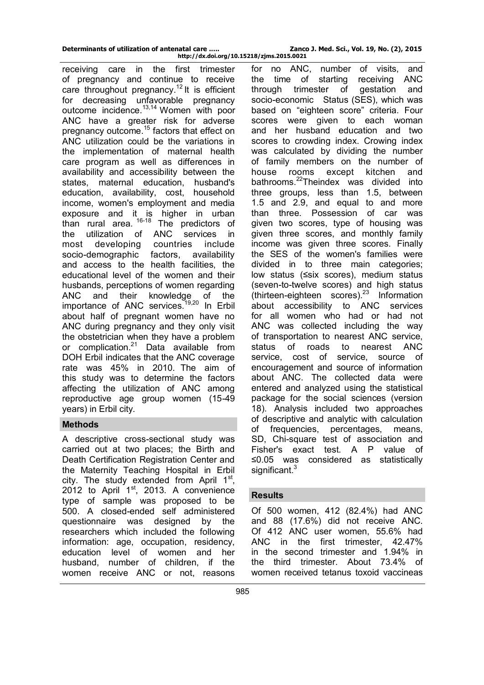| Determinants of utilization of antenatal care | Zanco J. Med. Sci., Vol. 19, No. (2), 2015 |
|-----------------------------------------------|--------------------------------------------|
| http://dx.doi.org/10.15218/zjms.2015.0021     |                                            |

receiving care in the first trimester of pregnancy and continue to receive care throughout pregnancy.<sup>12</sup> It is efficient for decreasing unfavorable pregnancy outcome incidence.<sup>13,14</sup> Women with poor ANC have a greater risk for adverse pregnancy outcome.<sup>15</sup> factors that effect on ANC utilization could be the variations in the implementation of maternal health care program as well as differences in availability and accessibility between the states, maternal education, husband's education, availability, cost, household income, women's employment and media exposure and it is higher in urban than rural area. 16-18 The predictors of the utilization of ANC services in most developing countries include socio-demographic factors, availability and access to the health facilities, the educational level of the women and their husbands, perceptions of women regarding ANC and their knowledge of the importance of ANC services.<sup>19,20</sup> In Erbil about half of pregnant women have no ANC during pregnancy and they only visit the obstetrician when they have a problem or complication.<sup>21</sup> Data available from DOH Erbil indicates that the ANC coverage rate was 45% in 2010. The aim of this study was to determine the factors affecting the utilization of ANC among reproductive age group women (15-49 years) in Erbil city.

## **Methods**

A descriptive cross-sectional study was carried out at two places; the Birth and Death Certification Registration Center and the Maternity Teaching Hospital in Erbil city. The study extended from April 1<sup>st</sup>, 2012 to April  $1<sup>st</sup>$ , 2013. A convenience type of sample was proposed to be 500. A closed-ended self administered questionnaire was designed by the researchers which included the following information: age, occupation, residency, education level of women and her husband, number of children, if the women receive ANC or not, reasons

for no ANC, number of visits, and the time of starting receiving ANC<br>through trimester of gestation and through trimester of socio-economic Status (SES), which was based on "eighteen score" criteria. Four scores were given to each woman and her husband education and two scores to crowding index. Crowing index was calculated by dividing the number of family members on the number of house rooms except kitchen and bathrooms.<sup>22</sup>Theindex was divided into three groups, less than 1.5, between 1.5 and 2.9, and equal to and more than three. Possession of car was given two scores, type of housing was given three scores, and monthly family income was given three scores. Finally the SES of the women's families were divided in to three main categories; low status (≤six scores), medium status (seven-to-twelve scores) and high status (thirteen-eighteen scores).<sup>23</sup> Information about accessibility to ANC services for all women who had or had not ANC was collected including the way of transportation to nearest ANC service, status of roads to nearest ANC service, cost of service, source of encouragement and source of information about ANC. The collected data were entered and analyzed using the statistical package for the social sciences (version 18). Analysis included two approaches of descriptive and analytic with calculation of frequencies, percentages, means, SD, Chi-square test of association and Fisher's exact test. A P value of ≤0.05 was considered as statistically significant.<sup>3</sup>

#### **Results**

Of 500 women, 412 (82.4%) had ANC and 88 (17.6%) did not receive ANC. Of 412 ANC user women, 55.6% had ANC in the first trimester, 42.47% in the second trimester and 1.94% in the third trimester. About 73.4% of women received tetanus toxoid vaccineas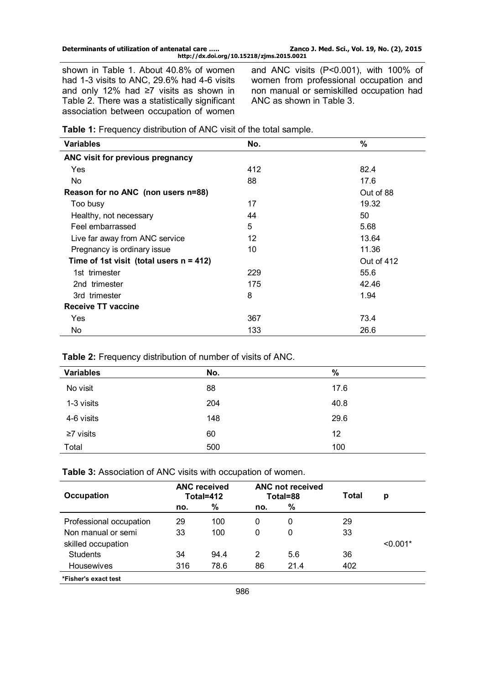| Determinants of utilization of antenatal care | Zanco J. Med. Sci., Vol. 19, No. (2), 2015 |
|-----------------------------------------------|--------------------------------------------|
| http://dx.doi.org/10.15218/zjms.2015.0021     |                                            |

shown in Table 1. About 40.8% of women had 1-3 visits to ANC, 29.6% had 4-6 visits and only 12% had ≥7 visits as shown in Table 2. There was a statistically significant association between occupation of women

and ANC visits (P<0.001), with 100% of women from professional occupation and non manual or semiskilled occupation had ANC as shown in Table 3.

|  | Table 1: Frequency distribution of ANC visit of the total sample. |
|--|-------------------------------------------------------------------|
|--|-------------------------------------------------------------------|

| <b>Variables</b>                           | No. | $\%$       |
|--------------------------------------------|-----|------------|
| ANC visit for previous pregnancy           |     |            |
| Yes                                        | 412 | 82.4       |
| No.                                        | 88  | 17.6       |
| Reason for no ANC (non users n=88)         |     | Out of 88  |
| Too busy                                   | 17  | 19.32      |
| Healthy, not necessary                     | 44  | 50         |
| Feel embarrassed                           | 5   | 5.68       |
| Live far away from ANC service             | 12  | 13.64      |
| Pregnancy is ordinary issue                | 10  | 11.36      |
| Time of 1st visit (total users $n = 412$ ) |     | Out of 412 |
| 1st trimester                              | 229 | 55.6       |
| 2nd trimester                              | 175 | 42.46      |
| 3rd trimester                              | 8   | 1.94       |
| <b>Receive TT vaccine</b>                  |     |            |
| Yes                                        | 367 | 73.4       |
| No.                                        | 133 | 26.6       |

### **Table 2:** Frequency distribution of number of visits of ANC.

| <b>Variables</b> | No. | $\%$ |
|------------------|-----|------|
| No visit         | 88  | 17.6 |
| 1-3 visits       | 204 | 40.8 |
| 4-6 visits       | 148 | 29.6 |
| $\geq 7$ visits  | 60  | 12   |
| Total            | 500 | 100  |

**Table 3:** Association of ANC visits with occupation of women.

| Occupation              | <b>ANC</b> received<br>Total=412 |      | <b>ANC not received</b><br>Total=88 |      | Total | p          |
|-------------------------|----------------------------------|------|-------------------------------------|------|-------|------------|
|                         | no.                              | %    | no.                                 | %    |       |            |
| Professional occupation | 29                               | 100  | 0                                   | 0    | 29    |            |
| Non manual or semi      | 33                               | 100  | 0                                   | 0    | 33    |            |
| skilled occupation      |                                  |      |                                     |      |       | $< 0.001*$ |
| <b>Students</b>         | 34                               | 94.4 | 2                                   | 5.6  | 36    |            |
| Housewives              | 316                              | 78.6 | 86                                  | 21.4 | 402   |            |
| *Fisher's exact test    |                                  |      |                                     |      |       |            |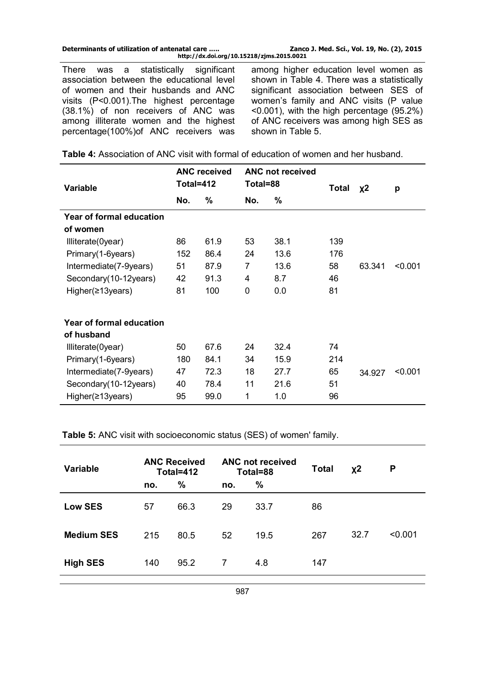| Determinants of utilization of antenatal care | Zanco J. Med. Sci., Vol. 19, No. (2), 2015 |
|-----------------------------------------------|--------------------------------------------|
| http://dx.doi.org/10.15218/zjms.2015.0021     |                                            |

There was a statistically significant association between the educational level of women and their husbands and ANC visits (P<0.001).The highest percentage (38.1%) of non receivers of ANC was among illiterate women and the highest percentage(100%)of ANC receivers was among higher education level women as shown in Table 4. There was a statistically significant association between SES of women's family and ANC visits (P value <0.001), with the high percentage (95.2%) of ANC receivers was among high SES as shown in Table 5.

| <b>Table 4:</b> Association of ANC visit with formal of education of women and her husband. |  |
|---------------------------------------------------------------------------------------------|--|
|---------------------------------------------------------------------------------------------|--|

|                                 |           | <b>ANC received</b> |          | ANC not received |              |        |         |
|---------------------------------|-----------|---------------------|----------|------------------|--------------|--------|---------|
| <b>Variable</b>                 | Total=412 |                     | Total=88 |                  | <b>Total</b> | $x^2$  | p       |
|                                 | No.       | %                   | No.      | $\%$             |              |        |         |
| <b>Year of formal education</b> |           |                     |          |                  |              |        |         |
| of women                        |           |                     |          |                  |              |        |         |
| Illiterate(0year)               | 86        | 61.9                | 53       | 38.1             | 139          |        |         |
| Primary(1-6years)               | 152       | 86.4                | 24       | 13.6             | 176          |        |         |
| Intermediate(7-9years)          | 51        | 87.9                | 7        | 13.6             | 58           | 63.341 | < 0.001 |
| Secondary (10-12 years)         | 42        | 91.3                | 4        | 8.7              | 46           |        |         |
| Higher(≥13years)                | 81        | 100                 | 0        | 0.0              | 81           |        |         |
| <b>Year of formal education</b> |           |                     |          |                  |              |        |         |
| of husband                      |           |                     |          |                  |              |        |         |
| Illiterate(0year)               | 50        | 67.6                | 24       | 32.4             | 74           |        |         |
| Primary (1-6years)              | 180       | 84.1                | 34       | 15.9             | 214          |        |         |
| Intermediate(7-9years)          | 47        | 72.3                | 18       | 27.7             | 65           | 34.927 | < 0.001 |
| Secondary (10-12 years)         | 40        | 78.4                | 11       | 21.6             | 51           |        |         |
| Higher( $\geq$ 13years)         | 95        | 99.0                | 1        | 1.0              | 96           |        |         |

**Table 5:** ANC visit with socioeconomic status (SES) of women' family.

| <b>Variable</b>   |     | <b>ANC Received</b><br>Total=412 | <b>ANC not received</b><br>Total=88 |      | <b>Total</b> | $x^2$ | P       |
|-------------------|-----|----------------------------------|-------------------------------------|------|--------------|-------|---------|
|                   | no. | %                                | no.                                 | %    |              |       |         |
| <b>Low SES</b>    | 57  | 66.3                             | 29                                  | 33.7 | 86           |       |         |
| <b>Medium SES</b> | 215 | 80.5                             | 52                                  | 19.5 | 267          | 32.7  | < 0.001 |
| <b>High SES</b>   | 140 | 95.2                             | 7                                   | 4.8  | 147          |       |         |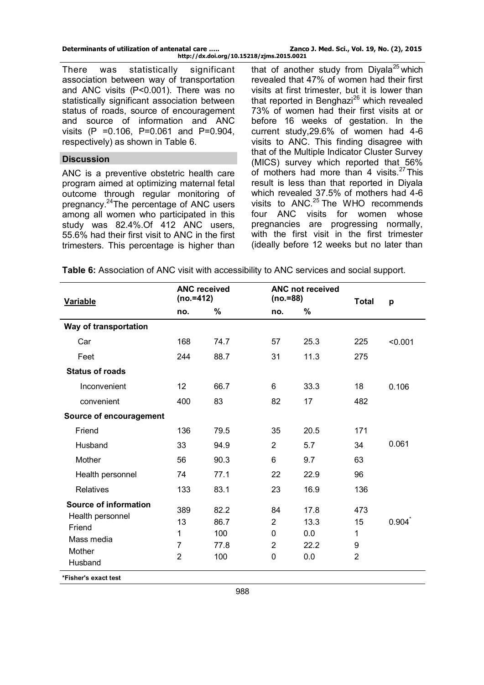| Determinants of utilization of antenatal care | Zanco J. Med. Sci., Vol. 19, No. (2), 2015 |
|-----------------------------------------------|--------------------------------------------|
| http://dx.doi.org/10.15218/zjms.2015.0021     |                                            |

There was statistically significant association between way of transportation and ANC visits (P<0.001). There was no statistically significant association between status of roads, source of encouragement and source of information and ANC visits (P =0.106, P=0.061 and P=0.904, respectively) as shown in Table 6.

### **Discussion**

ANC is a preventive obstetric health care program aimed at optimizing maternal fetal outcome through regular monitoring of pregnancy.<sup>24</sup>The percentage of ANC users among all women who participated in this study was 82.4%.Of 412 ANC users, 55.6% had their first visit to ANC in the first trimesters. This percentage is higher than that of another study from Divala<sup>25</sup> which revealed that 47% of women had their first visits at first trimester, but it is lower than that reported in Benghazi<sup>26</sup> which revealed 73% of women had their first visits at or before 16 weeks of gestation. In the current study,29.6% of women had 4-6 visits to ANC. This finding disagree with that of the Multiple Indicator Cluster Survey (MICS) survey which reported that 56% of mothers had more than 4 visits. $27$  This result is less than that reported in Diyala which revealed 37.5% of mothers had 4-6 visits to  $ANC.<sup>25</sup>$  The WHO recommends four ANC visits for women whose pregnancies are progressing normally, with the first visit in the first trimester (ideally before 12 weeks but no later than

**Table 6:** Association of ANC visit with accessibility to ANC services and social support.

| <b>Variable</b>                                            | <b>ANC received</b><br>$(no.=412)$    |                    | ANC not received<br>$(no.=88)$ |                    | <b>Total</b>             | p       |
|------------------------------------------------------------|---------------------------------------|--------------------|--------------------------------|--------------------|--------------------------|---------|
|                                                            | no.                                   | %                  | no.                            | $\%$               |                          |         |
| Way of transportation                                      |                                       |                    |                                |                    |                          |         |
| Car                                                        | 168                                   | 74.7               | 57                             | 25.3               | 225                      | < 0.001 |
| Feet                                                       | 244                                   | 88.7               | 31                             | 11.3               | 275                      |         |
| <b>Status of roads</b>                                     |                                       |                    |                                |                    |                          |         |
| Inconvenient                                               | 12                                    | 66.7               | 6                              | 33.3               | 18                       | 0.106   |
| convenient                                                 | 400                                   | 83                 | 82                             | 17                 | 482                      |         |
| Source of encouragement                                    |                                       |                    |                                |                    |                          |         |
| Friend                                                     | 136                                   | 79.5               | 35                             | 20.5               | 171                      |         |
| Husband                                                    | 33                                    | 94.9               | $\overline{2}$                 | 5.7                | 34                       | 0.061   |
| Mother                                                     | 56                                    | 90.3               | 6                              | 9.7                | 63                       |         |
| Health personnel                                           | 74                                    | 77.1               | 22                             | 22.9               | 96                       |         |
| Relatives                                                  | 133                                   | 83.1               | 23                             | 16.9               | 136                      |         |
| <b>Source of information</b><br>Health personnel<br>Friend | 389<br>13                             | 82.2<br>86.7       | 84<br>$\overline{2}$           | 17.8<br>13.3       | 473<br>15                | 0.904   |
| Mass media<br>Mother<br>Husband                            | 1<br>$\overline{7}$<br>$\overline{2}$ | 100<br>77.8<br>100 | 0<br>$\overline{2}$<br>0       | 0.0<br>22.2<br>0.0 | 1<br>9<br>$\overline{2}$ |         |
| *Fisher's exact test                                       |                                       |                    |                                |                    |                          |         |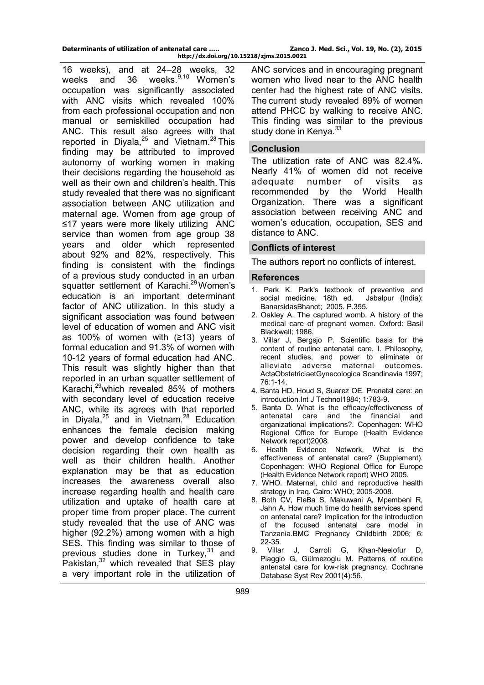| Determinants of utilization of antenatal care | Zanco J. Med. Sci., Vol. 19, No. (2), 2015 |  |  |  |
|-----------------------------------------------|--------------------------------------------|--|--|--|
| http://dx.doi.org/10.15218/zjms.2015.0021     |                                            |  |  |  |

16 weeks), and at 24–28 weeks, 32 weeks and 36 weeks.<sup>9,10</sup> Women's occupation was significantly associated with ANC visits which revealed 100% from each professional occupation and non manual or semiskilled occupation had ANC. This result also agrees with that reported in Diyala,25 and Vietnam.28 This finding may be attributed to improved autonomy of working women in making their decisions regarding the household as well as their own and children's health. This study revealed that there was no significant association between ANC utilization and maternal age. Women from age group of ≤17 years were more likely utilizing ANC service than women from age group 38 years and older which represented about 92% and 82%, respectively. This finding is consistent with the findings of a previous study conducted in an urban squatter settlement of Karachi.<sup>29</sup> Women's education is an important determinant factor of ANC utilization. In this study a significant association was found between level of education of women and ANC visit as 100% of women with (≥13) years of formal education and 91.3% of women with 10-12 years of formal education had ANC. This result was slightly higher than that reported in an urban squatter settlement of Karachi,29which revealed 85% of mothers with secondary level of education receive ANC, while its agrees with that reported in Diyala, $^{25}$  and in Vietnam.<sup>28</sup> Education enhances the female decision making power and develop confidence to take decision regarding their own health as well as their children health. Another explanation may be that as education increases the awareness overall also increase regarding health and health care utilization and uptake of health care at proper time from proper place. The current study revealed that the use of ANC was higher (92.2%) among women with a high SES. This finding was similar to those of previous studies done in Turkey, $31$  and Pakistan, $32$  which revealed that SES play a very important role in the utilization of

ANC services and in encouraging pregnant women who lived near to the ANC health center had the highest rate of ANC visits. The current study revealed 89% of women attend PHCC by walking to receive ANC. This finding was similar to the previous study done in Kenya. $33$ 

#### **Conclusion**

The utilization rate of ANC was 82.4%. Nearly 41% of women did not receive adequate number of visits as recommended by the World Health Organization. There was a significant association between receiving ANC and women's education, occupation, SES and distance to ANC.

#### **Conflicts of interest**

The authors report no conflicts of interest.

#### **References**

- 1. Park K. Park's textbook of preventive and social medicine. 18th ed. Jabalpur (India): social medicine. 18th ed. BanarsidasBhanot; 2005. P.355.
- 2. Oakley A. The captured womb. A history of the medical care of pregnant women. Oxford: Basil Blackwell; 1986.
- 3. Villar J, Bergsjo P. Scientific basis for the content of routine antenatal care. I. Philosophy, recent studies, and power to eliminate or alleviate adverse maternal outcomes. ActaObstetriciaetGynecologica Scandinavia 1997; 76:1-14.
- 4. Banta HD, Houd S, Suarez OE. Prenatal care: an introduction.Int J Technol1984; 1:783-9.
- 5. Banta D. What is the efficacy/effectiveness of antenatal care and the financial and organizational implications?. Copenhagen: WHO Regional Office for Europe (Health Evidence Network report)2008.
- 6. Health Evidence Network, What is the effectiveness of antenatal care? (Supplement). Copenhagen: WHO Regional Office for Europe (Health Evidence Network report) WHO 2005.
- 7. WHO. Maternal, child and reproductive health strategy in Iraq. Cairo: WHO; 2005-2008.
- 8. Both CV, FleBa S, Makuwani A, Mpembeni R, Jahn A. How much time do health services spend on antenatal care? Implication for the introduction of the focused antenatal care model in Tanzania.BMC Pregnancy Childbirth 2006; 6: 22-35.
- 9. [Villar J,](http://www.ncbi.nlm.nih.gov/pubmed?term=Villar%20J%5BAuthor%5D&cauthor=true&cauthor_uid=11687086) [Carroli G,](http://www.ncbi.nlm.nih.gov/pubmed?term=Carroli%20G%5BAuthor%5D&cauthor=true&cauthor_uid=11687086) [Khan-Neelofur D,](http://www.ncbi.nlm.nih.gov/pubmed?term=Khan-Neelofur%20D%5BAuthor%5D&cauthor=true&cauthor_uid=11687086)  [Piaggio G,](http://www.ncbi.nlm.nih.gov/pubmed?term=Piaggio%20G%5BAuthor%5D&cauthor=true&cauthor_uid=11687086) [Gülmezoglu M.](http://www.ncbi.nlm.nih.gov/pubmed?term=G%C3%BClmezoglu%20M%5BAuthor%5D&cauthor=true&cauthor_uid=11687086) Patterns of routine antenatal care for low-risk pregnancy. Cochrane Database Syst Rev 2001(4):56.